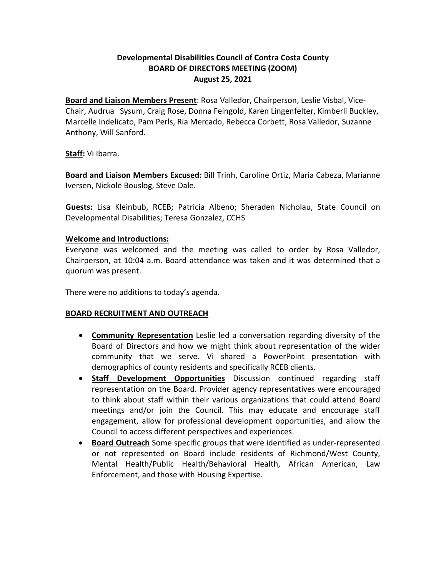# **Developmental Disabilities Council of Contra Costa County BOARD OF DIRECTORS MEETING (ZOOM) August 25, 2021**

**Board and Liaison Members Present**: Rosa Valledor, Chairperson, Leslie Visbal, Vice-Chair, Audrua Sysum, Craig Rose, Donna Feingold, Karen Lingenfelter, Kimberli Buckley, Marcelle Indelicato, Pam Perls, Ria Mercado, Rebecca Corbett, Rosa Valledor, Suzanne Anthony, Will Sanford.

**Staff:** Vi Ibarra.

**Board and Liaison Members Excused:** Bill Trinh, Caroline Ortiz, Maria Cabeza, Marianne Iversen, Nickole Bouslog, Steve Dale.

**Guests:** Lisa Kleinbub, RCEB; Patricia Albeno; Sheraden Nicholau, State Council on Developmental Disabilities; Teresa Gonzalez, CCHS

### **Welcome and Introductions:**

Everyone was welcomed and the meeting was called to order by Rosa Valledor, Chairperson, at 10:04 a.m. Board attendance was taken and it was determined that a quorum was present.

There were no additions to today's agenda.

#### **BOARD RECRUITMENT AND OUTREACH**

- **Community Representation** Leslie led a conversation regarding diversity of the Board of Directors and how we might think about representation of the wider community that we serve. Vi shared a PowerPoint presentation with demographics of county residents and specifically RCEB clients.
- **Staff Development Opportunities** Discussion continued regarding staff representation on the Board. Provider agency representatives were encouraged to think about staff within their various organizations that could attend Board meetings and/or join the Council. This may educate and encourage staff engagement, allow for professional development opportunities, and allow the Council to access different perspectives and experiences.
- **Board Outreach** Some specific groups that were identified as under-represented or not represented on Board include residents of Richmond/West County, Mental Health/Public Health/Behavioral Health, African American, Law Enforcement, and those with Housing Expertise.